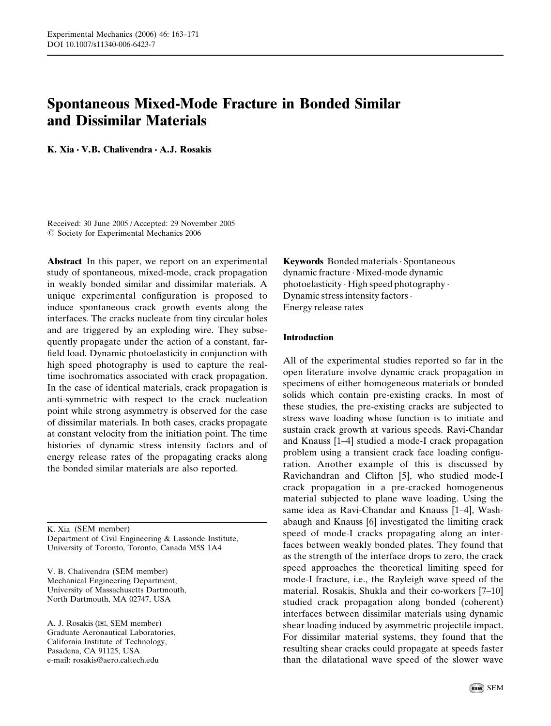# Spontaneous Mixed-Mode Fracture in Bonded Similar and Dissimilar Materials

K. Xia  $\cdot$  V.B. Chalivendra  $\cdot$  A.J. Rosakis

Received: 30 June 2005 /Accepted: 29 November 2005  $\oslash$  Society for Experimental Mechanics 2006

Abstract In this paper, we report on an experimental study of spontaneous, mixed-mode, crack propagation in weakly bonded similar and dissimilar materials. A unique experimental configuration is proposed to induce spontaneous crack growth events along the interfaces. The cracks nucleate from tiny circular holes and are triggered by an exploding wire. They subsequently propagate under the action of a constant, farfield load. Dynamic photoelasticity in conjunction with high speed photography is used to capture the realtime isochromatics associated with crack propagation. In the case of identical materials, crack propagation is anti-symmetric with respect to the crack nucleation point while strong asymmetry is observed for the case of dissimilar materials. In both cases, cracks propagate at constant velocity from the initiation point. The time histories of dynamic stress intensity factors and of energy release rates of the propagating cracks along the bonded similar materials are also reported.

K. Xia (SEM member) Department of Civil Engineering & Lassonde Institute, University of Toronto, Toronto, Canada M5S 1A4

V. B. Chalivendra (SEM member) Mechanical Engineering Department, University of Massachusetts Dartmouth, North Dartmouth, MA 02747, USA

A. J. Rosakis (*)*, SEM member) Graduate Aeronautical Laboratories, California Institute of Technology, Pasadena, CA 91125, USA e-mail: rosakis@aero.caltech.edu

Keywords Bonded materials · Spontaneous dynamic fracture . Mixed-mode dynamic photoelasticity . High speed photography . Dynamic stress intensity factors. Energy release rates

## Introduction

All of the experimental studies reported so far in the open literature involve dynamic crack propagation in specimens of either homogeneous materials or bonded solids which contain pre-existing cracks. In most of these studies, the pre-existing cracks are subjected to stress wave loading whose function is to initiate and sustain crack growth at various speeds. Ravi-Chandar and Knauss [1–4] studied a mode-I crack propagation problem using a transient crack face loading configuration. Another example of this is discussed by Ravichandran and Clifton [5], who studied mode-I crack propagation in a pre-cracked homogeneous material subjected to plane wave loading. Using the same idea as Ravi-Chandar and Knauss [1–4], Washabaugh and Knauss [6] investigated the limiting crack speed of mode-I cracks propagating along an interfaces between weakly bonded plates. They found that as the strength of the interface drops to zero, the crack speed approaches the theoretical limiting speed for mode-I fracture, i.e., the Rayleigh wave speed of the material. Rosakis, Shukla and their co-workers [7–10] studied crack propagation along bonded (coherent) interfaces between dissimilar materials using dynamic shear loading induced by asymmetric projectile impact. For dissimilar material systems, they found that the resulting shear cracks could propagate at speeds faster than the dilatational wave speed of the slower wave

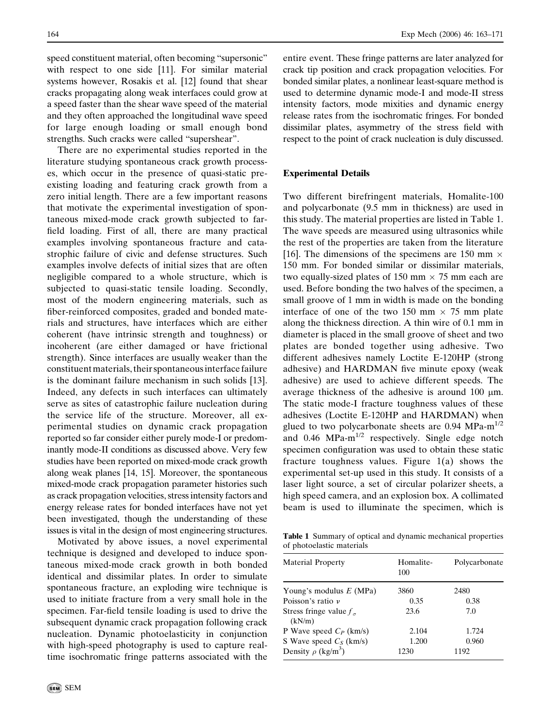speed constituent material, often becoming "supersonic" with respect to one side [11]. For similar material systems however, Rosakis et al. [12] found that shear cracks propagating along weak interfaces could grow at a speed faster than the shear wave speed of the material and they often approached the longitudinal wave speed for large enough loading or small enough bond strengths. Such cracks were called "supershear".

There are no experimental studies reported in the literature studying spontaneous crack growth processes, which occur in the presence of quasi-static preexisting loading and featuring crack growth from a zero initial length. There are a few important reasons that motivate the experimental investigation of spontaneous mixed-mode crack growth subjected to farfield loading. First of all, there are many practical examples involving spontaneous fracture and catastrophic failure of civic and defense structures. Such examples involve defects of initial sizes that are often negligible compared to a whole structure, which is subjected to quasi-static tensile loading. Secondly, most of the modern engineering materials, such as fiber-reinforced composites, graded and bonded materials and structures, have interfaces which are either coherent (have intrinsic strength and toughness) or incoherent (are either damaged or have frictional strength). Since interfaces are usually weaker than the constituent materials, their spontaneous interface failure is the dominant failure mechanism in such solids [13]. Indeed, any defects in such interfaces can ultimately serve as sites of catastrophic failure nucleation during the service life of the structure. Moreover, all experimental studies on dynamic crack propagation reported so far consider either purely mode-I or predominantly mode-II conditions as discussed above. Very few studies have been reported on mixed-mode crack growth along weak planes [14, 15]. Moreover, the spontaneous mixed-mode crack propagation parameter histories such as crack propagation velocities, stress intensity factors and energy release rates for bonded interfaces have not yet been investigated, though the understanding of these issues is vital in the design of most engineering structures.

Motivated by above issues, a novel experimental technique is designed and developed to induce spontaneous mixed-mode crack growth in both bonded identical and dissimilar plates. In order to simulate spontaneous fracture, an exploding wire technique is used to initiate fracture from a very small hole in the specimen. Far-field tensile loading is used to drive the subsequent dynamic crack propagation following crack nucleation. Dynamic photoelasticity in conjunction with high-speed photography is used to capture realtime isochromatic fringe patterns associated with the entire event. These fringe patterns are later analyzed for crack tip position and crack propagation velocities. For bonded similar plates, a nonlinear least-square method is used to determine dynamic mode-I and mode-II stress intensity factors, mode mixities and dynamic energy release rates from the isochromatic fringes. For bonded dissimilar plates, asymmetry of the stress field with respect to the point of crack nucleation is duly discussed.

#### Experimental Details

Two different birefringent materials, Homalite-100 and polycarbonate (9.5 mm in thickness) are used in this study. The material properties are listed in Table 1. The wave speeds are measured using ultrasonics while the rest of the properties are taken from the literature [16]. The dimensions of the specimens are 150 mm  $\times$ 150 mm. For bonded similar or dissimilar materials, two equally-sized plates of 150 mm  $\times$  75 mm each are used. Before bonding the two halves of the specimen, a small groove of 1 mm in width is made on the bonding interface of one of the two 150 mm  $\times$  75 mm plate along the thickness direction. A thin wire of 0.1 mm in diameter is placed in the small groove of sheet and two plates are bonded together using adhesive. Two different adhesives namely Loctite E-120HP (strong adhesive) and HARDMAN five minute epoxy (weak adhesive) are used to achieve different speeds. The average thickness of the adhesive is around  $100 \mu m$ . The static mode-I fracture toughness values of these adhesives (Loctite E-120HP and HARDMAN) when glued to two polycarbonate sheets are  $0.94 \text{ MPa-m}^{1/2}$ and  $0.46$  MPa-m<sup>1/2</sup> respectively. Single edge notch specimen configuration was used to obtain these static fracture toughness values. Figure 1(a) shows the experimental set-up used in this study. It consists of a laser light source, a set of circular polarizer sheets, a high speed camera, and an explosion box. A collimated beam is used to illuminate the specimen, which is

Table 1 Summary of optical and dynamic mechanical properties of photoelastic materials

| <b>Material Property</b>                   | Homalite-<br>100 | Polycarbonate |
|--------------------------------------------|------------------|---------------|
| Young's modulus $E$ (MPa)                  | 3860             | 2480          |
| Poisson's ratio $\nu$                      | 0.35             | 0.38          |
| Stress fringe value $f_{\sigma}$<br>(kN/m) | 23.6             | 7.0           |
| P Wave speed $C_P$ (km/s)                  | 2.104            | 1.724         |
| S Wave speed $C_s$ (km/s)                  | 1.200            | 0.960         |
| Density $\rho$ (kg/m <sup>3</sup> )        | 1230             | 1192          |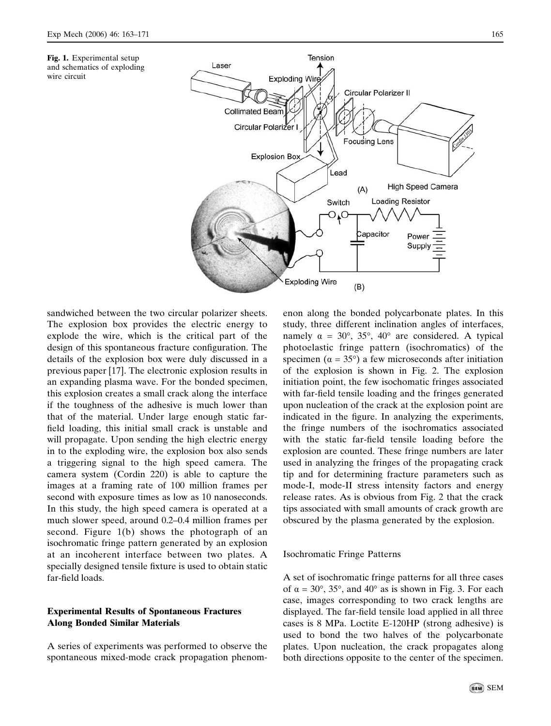



sandwiched between the two circular polarizer sheets. The explosion box provides the electric energy to explode the wire, which is the critical part of the design of this spontaneous fracture configuration. The details of the explosion box were duly discussed in a previous paper [17]. The electronic explosion results in an expanding plasma wave. For the bonded specimen, this explosion creates a small crack along the interface if the toughness of the adhesive is much lower than that of the material. Under large enough static farfield loading, this initial small crack is unstable and will propagate. Upon sending the high electric energy in to the exploding wire, the explosion box also sends a triggering signal to the high speed camera. The camera system (Cordin 220) is able to capture the images at a framing rate of 100 million frames per second with exposure times as low as 10 nanoseconds. In this study, the high speed camera is operated at a much slower speed, around 0.2–0.4 million frames per second. Figure 1(b) shows the photograph of an isochromatic fringe pattern generated by an explosion at an incoherent interface between two plates. A specially designed tensile fixture is used to obtain static far-field loads.

## Experimental Results of Spontaneous Fractures Along Bonded Similar Materials

A series of experiments was performed to observe the spontaneous mixed-mode crack propagation phenomenon along the bonded polycarbonate plates. In this study, three different inclination angles of interfaces, namely  $\alpha = 30^{\circ}$ ,  $35^{\circ}$ ,  $40^{\circ}$  are considered. A typical photoelastic fringe pattern (isochromatics) of the specimen ( $\alpha = 35^{\circ}$ ) a few microseconds after initiation of the explosion is shown in Fig. 2. The explosion initiation point, the few isochomatic fringes associated with far-field tensile loading and the fringes generated upon nucleation of the crack at the explosion point are indicated in the figure. In analyzing the experiments, the fringe numbers of the isochromatics associated with the static far-field tensile loading before the explosion are counted. These fringe numbers are later used in analyzing the fringes of the propagating crack tip and for determining fracture parameters such as mode-I, mode-II stress intensity factors and energy release rates. As is obvious from Fig. 2 that the crack tips associated with small amounts of crack growth are obscured by the plasma generated by the explosion.

### Isochromatic Fringe Patterns

A set of isochromatic fringe patterns for all three cases of  $\alpha = 30^{\circ}$ , 35°, and 40° as is shown in Fig. 3. For each case, images corresponding to two crack lengths are displayed. The far-field tensile load applied in all three cases is 8 MPa. Loctite E-120HP (strong adhesive) is used to bond the two halves of the polycarbonate plates. Upon nucleation, the crack propagates along both directions opposite to the center of the specimen.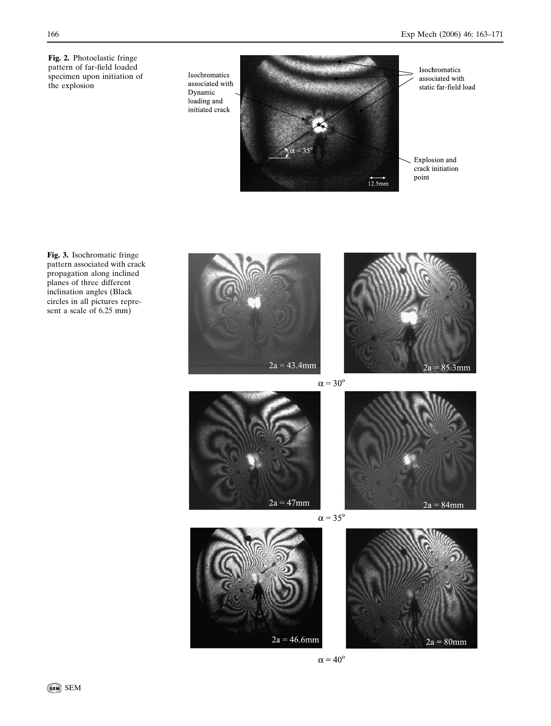Fig. 2. Photoelastic fringe pattern of far-field loaded specimen upon initiation of the explosion

Isochromatics associated with Dynamic loading and initiated crack



Isochromatics associated with static far-field load

Explosion and crack initiation point

Fig. 3. Isochromatic fringe pattern associated with crack propagation along inclined planes of three different inclination angles (Black circles in all pictures represent a scale of 6.25 mm)





 $\alpha = 30^{\circ}$ 







 $\alpha = 35^{\circ}$ 



 $\alpha = 40^{\circ}$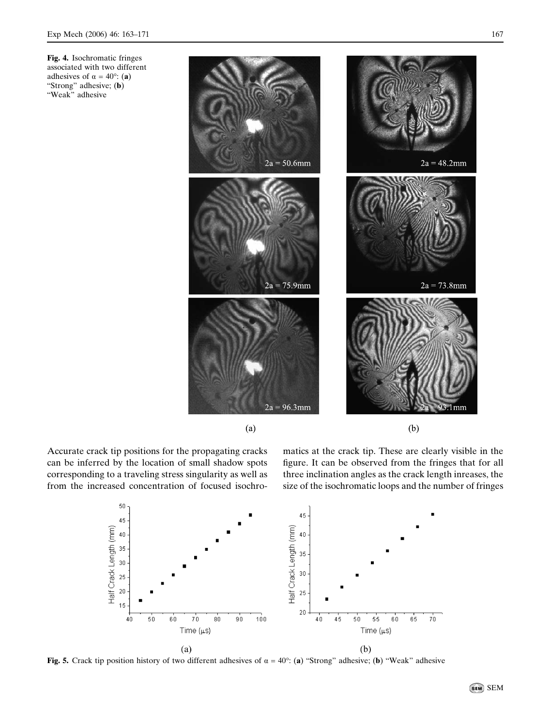Fig. 4. Isochromatic fringes associated with two different adhesives of  $\alpha = 40^{\circ}$ : (a) "Strong" adhesive; (b) "Weak" adhesive



Accurate crack tip positions for the propagating cracks can be inferred by the location of small shadow spots corresponding to a traveling stress singularity as well as from the increased concentration of focused isochromatics at the crack tip. These are clearly visible in the figure. It can be observed from the fringes that for all three inclination angles as the crack length inreases, the size of the isochromatic loops and the number of fringes



Fig. 5. Crack tip position history of two different adhesives of  $\alpha = 40^\circ$ : (a) "Strong" adhesive; (b) "Weak" adhesive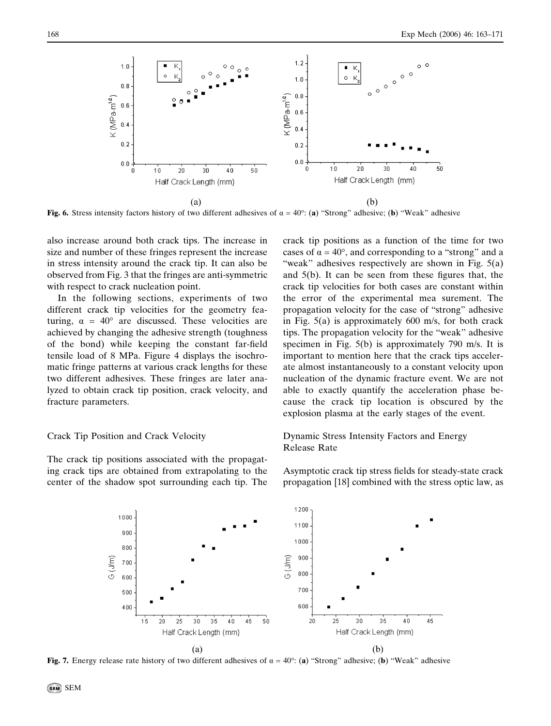

Fig. 6. Stress intensity factors history of two different adhesives of  $\alpha = 40^\circ$ : (a) "Strong" adhesive; (b) "Weak" adhesive

also increase around both crack tips. The increase in size and number of these fringes represent the increase in stress intensity around the crack tip. It can also be observed from Fig. 3 that the fringes are anti-symmetric with respect to crack nucleation point.

In the following sections, experiments of two different crack tip velocities for the geometry featuring,  $\alpha = 40^{\circ}$  are discussed. These velocities are achieved by changing the adhesive strength (toughness of the bond) while keeping the constant far-field tensile load of 8 MPa. Figure 4 displays the isochromatic fringe patterns at various crack lengths for these two different adhesives. These fringes are later analyzed to obtain crack tip position, crack velocity, and fracture parameters.

#### Crack Tip Position and Crack Velocity

The crack tip positions associated with the propagating crack tips are obtained from extrapolating to the center of the shadow spot surrounding each tip. The crack tip positions as a function of the time for two cases of  $\alpha = 40^{\circ}$ , and corresponding to a "strong" and a "weak" adhesives respectively are shown in Fig.  $5(a)$ and 5(b). It can be seen from these figures that, the crack tip velocities for both cases are constant within the error of the experimental mea surement. The propagation velocity for the case of "strong" adhesive in Fig. 5(a) is approximately 600 m/s, for both crack tips. The propagation velocity for the "weak" adhesive specimen in Fig. 5(b) is approximately 790 m/s. It is important to mention here that the crack tips accelerate almost instantaneously to a constant velocity upon nucleation of the dynamic fracture event. We are not able to exactly quantify the acceleration phase because the crack tip location is obscured by the explosion plasma at the early stages of the event.

## Dynamic Stress Intensity Factors and Energy Release Rate

Asymptotic crack tip stress fields for steady-state crack propagation [18] combined with the stress optic law, as



Fig. 7. Energy release rate history of two different adhesives of  $\alpha = 40^\circ$ : (a) "Strong" adhesive; (b) "Weak" adhesive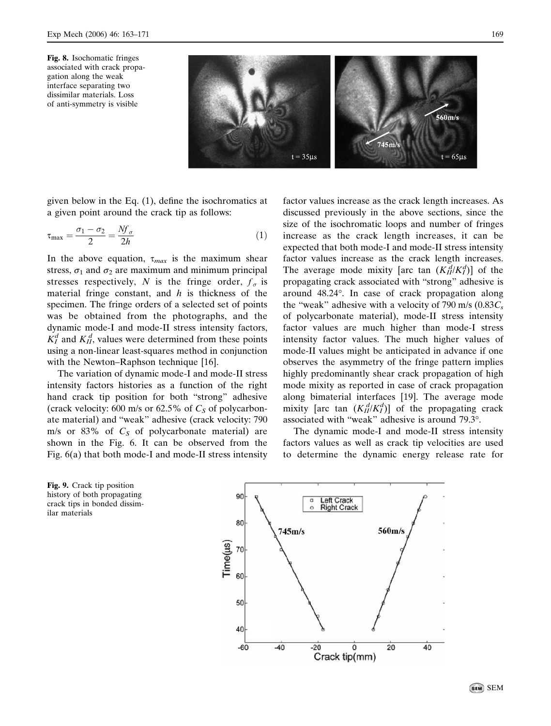

given below in the Eq. (1), define the isochromatics at a given point around the crack tip as follows:

$$
\tau_{\text{max}} = \frac{\sigma_1 - \sigma_2}{2} = \frac{Nf_\sigma}{2h} \tag{1}
$$

In the above equation,  $\tau_{max}$  is the maximum shear stress,  $\sigma_1$  and  $\sigma_2$  are maximum and minimum principal stresses respectively, N is the fringe order,  $f_{\sigma}$  is material fringe constant, and  $h$  is thickness of the specimen. The fringe orders of a selected set of points was be obtained from the photographs, and the dynamic mode-I and mode-II stress intensity factors,  $K_I^d$  and  $K_{II}^d$ , values were determined from these points using a non-linear least-squares method in conjunction with the Newton–Raphson technique [16].

The variation of dynamic mode-I and mode-II stress intensity factors histories as a function of the right hand crack tip position for both "strong" adhesive (crack velocity: 600 m/s or 62.5% of  $C_s$  of polycarbonate material) and "weak" adhesive (crack velocity: 790 m/s or 83% of  $C_s$  of polycarbonate material) are shown in the Fig. 6. It can be observed from the Fig. 6(a) that both mode-I and mode-II stress intensity

factor values increase as the crack length increases. As discussed previously in the above sections, since the size of the isochromatic loops and number of fringes increase as the crack length increases, it can be expected that both mode-I and mode-II stress intensity factor values increase as the crack length increases. The average mode mixity [arc tan  $(K_{II}^d/K_I^d)$ ] of the propagating crack associated with "strong" adhesive is around 48.24°. In case of crack propagation along the "weak" adhesive with a velocity of 790 m/s  $(0.83C<sub>s</sub>)$ of polycarbonate material), mode-II stress intensity factor values are much higher than mode-I stress intensity factor values. The much higher values of mode-II values might be anticipated in advance if one observes the asymmetry of the fringe pattern implies highly predominantly shear crack propagation of high mode mixity as reported in case of crack propagation along bimaterial interfaces [19]. The average mode mixity [arc tan  $(K_{II}^{d}/K_I^d)$ ] of the propagating crack associated with "weak" adhesive is around 79.3°.

The dynamic mode-I and mode-II stress intensity factors values as well as crack tip velocities are used to determine the dynamic energy release rate for



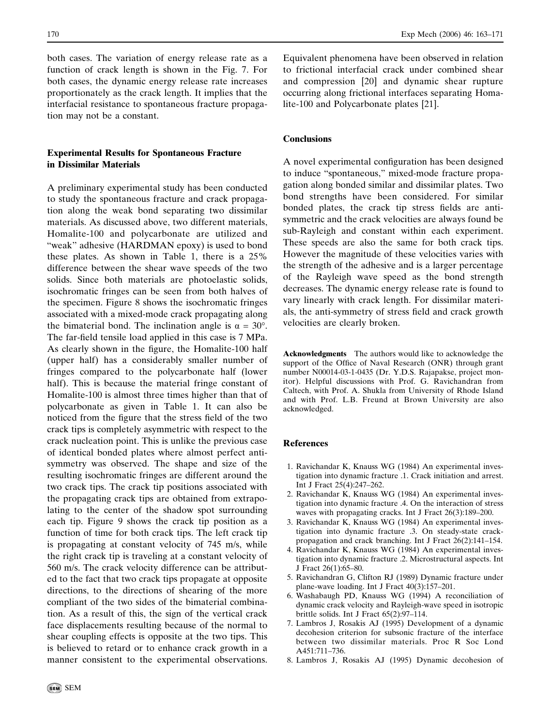both cases. The variation of energy release rate as a function of crack length is shown in the Fig. 7. For both cases, the dynamic energy release rate increases proportionately as the crack length. It implies that the interfacial resistance to spontaneous fracture propagation may not be a constant.

## Experimental Results for Spontaneous Fracture in Dissimilar Materials

A preliminary experimental study has been conducted to study the spontaneous fracture and crack propagation along the weak bond separating two dissimilar materials. As discussed above, two different materials, Homalite-100 and polycarbonate are utilized and "weak" adhesive (HARDMAN epoxy) is used to bond these plates. As shown in Table 1, there is a 25% difference between the shear wave speeds of the two solids. Since both materials are photoelastic solids, isochromatic fringes can be seen from both halves of the specimen. Figure 8 shows the isochromatic fringes associated with a mixed-mode crack propagating along the bimaterial bond. The inclination angle is  $\alpha = 30^{\circ}$ . The far-field tensile load applied in this case is 7 MPa. As clearly shown in the figure, the Homalite-100 half (upper half) has a considerably smaller number of fringes compared to the polycarbonate half (lower half). This is because the material fringe constant of Homalite-100 is almost three times higher than that of polycarbonate as given in Table 1. It can also be noticed from the figure that the stress field of the two crack tips is completely asymmetric with respect to the crack nucleation point. This is unlike the previous case of identical bonded plates where almost perfect antisymmetry was observed. The shape and size of the resulting isochromatic fringes are different around the two crack tips. The crack tip positions associated with the propagating crack tips are obtained from extrapolating to the center of the shadow spot surrounding each tip. Figure 9 shows the crack tip position as a function of time for both crack tips. The left crack tip is propagating at constant velocity of 745 m/s, while the right crack tip is traveling at a constant velocity of 560 m/s. The crack velocity difference can be attributed to the fact that two crack tips propagate at opposite directions, to the directions of shearing of the more compliant of the two sides of the bimaterial combination. As a result of this, the sign of the vertical crack face displacements resulting because of the normal to shear coupling effects is opposite at the two tips. This is believed to retard or to enhance crack growth in a manner consistent to the experimental observations.

Equivalent phenomena have been observed in relation to frictional interfacial crack under combined shear and compression [20] and dynamic shear rupture occurring along frictional interfaces separating Homalite-100 and Polycarbonate plates [21].

## **Conclusions**

A novel experimental configuration has been designed to induce "spontaneous," mixed-mode fracture propagation along bonded similar and dissimilar plates. Two bond strengths have been considered. For similar bonded plates, the crack tip stress fields are antisymmetric and the crack velocities are always found be sub-Rayleigh and constant within each experiment. These speeds are also the same for both crack tips. However the magnitude of these velocities varies with the strength of the adhesive and is a larger percentage of the Rayleigh wave speed as the bond strength decreases. The dynamic energy release rate is found to vary linearly with crack length. For dissimilar materials, the anti-symmetry of stress field and crack growth velocities are clearly broken.

Acknowledgments The authors would like to acknowledge the support of the Office of Naval Research (ONR) through grant number N00014-03-1-0435 (Dr. Y.D.S. Rajapakse, project monitor). Helpful discussions with Prof. G. Ravichandran from Caltech, with Prof. A. Shukla from University of Rhode Island and with Prof. L.B. Freund at Brown University are also acknowledged.

#### References

- 1. Ravichandar K, Knauss WG (1984) An experimental investigation into dynamic fracture .1. Crack initiation and arrest. Int J Fract 25(4):247–262.
- 2. Ravichandar K, Knauss WG (1984) An experimental investigation into dynamic fracture .4. On the interaction of stress waves with propagating cracks. Int J Fract 26(3):189–200.
- 3. Ravichandar K, Knauss WG (1984) An experimental investigation into dynamic fracture .3. On steady-state crackpropagation and crack branching. Int J Fract 26(2):141–154.
- 4. Ravichandar K, Knauss WG (1984) An experimental investigation into dynamic fracture .2. Microstructural aspects. Int J Fract 26(1):65–80.
- 5. Ravichandran G, Clifton RJ (1989) Dynamic fracture under plane-wave loading. Int J Fract 40(3):157–201.
- 6. Washabaugh PD, Knauss WG (1994) A reconciliation of dynamic crack velocity and Rayleigh-wave speed in isotropic brittle solids. Int J Fract 65(2):97–114.
- 7. Lambros J, Rosakis AJ (1995) Development of a dynamic decohesion criterion for subsonic fracture of the interface between two dissimilar materials. Proc R Soc Lond A451:711–736.
- 8. Lambros J, Rosakis AJ (1995) Dynamic decohesion of